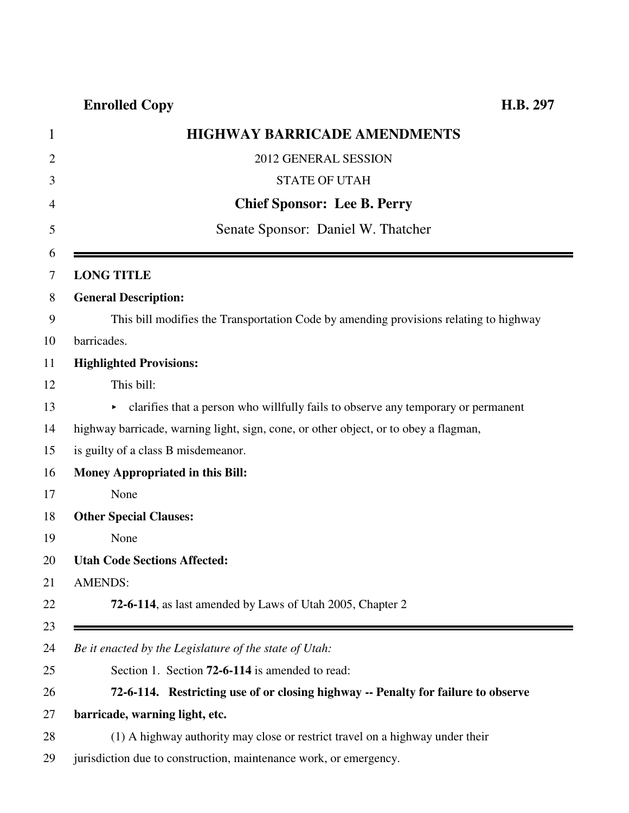## **Enrolled Copy H.B. 297**

| <b>HIGHWAY BARRICADE AMENDMENTS</b>                                                   |
|---------------------------------------------------------------------------------------|
| 2012 GENERAL SESSION                                                                  |
| <b>STATE OF UTAH</b>                                                                  |
| <b>Chief Sponsor: Lee B. Perry</b>                                                    |
| Senate Sponsor: Daniel W. Thatcher                                                    |
|                                                                                       |
| <b>LONG TITLE</b>                                                                     |
| <b>General Description:</b>                                                           |
| This bill modifies the Transportation Code by amending provisions relating to highway |
| barricades.                                                                           |
| <b>Highlighted Provisions:</b>                                                        |
| This bill:                                                                            |
| clarifies that a person who willfully fails to observe any temporary or permanent     |
| highway barricade, warning light, sign, cone, or other object, or to obey a flagman,  |
| is guilty of a class B misdemeanor.                                                   |
| <b>Money Appropriated in this Bill:</b>                                               |
| None                                                                                  |
| <b>Other Special Clauses:</b>                                                         |
| None                                                                                  |
| <b>Utah Code Sections Affected:</b>                                                   |
| <b>AMENDS:</b>                                                                        |
| 72-6-114, as last amended by Laws of Utah 2005, Chapter 2                             |
|                                                                                       |
| Be it enacted by the Legislature of the state of Utah:                                |
| Section 1. Section <b>72-6-114</b> is amended to read:                                |
| 72-6-114. Restricting use of or closing highway -- Penalty for failure to observe     |
| barricade, warning light, etc.                                                        |
|                                                                                       |

- 28 (1) A highway authority may close or restrict travel on a highway under their
- 29 jurisdiction due to construction, maintenance work, or emergency.